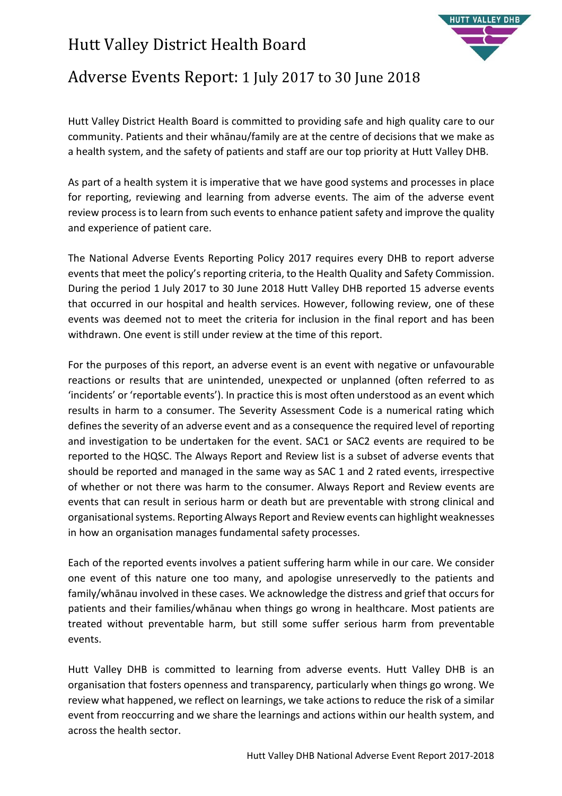# Hutt Valley District Health Board



## Adverse Events Report: 1 July 2017 to 30 June 2018

Hutt Valley District Health Board is committed to providing safe and high quality care to our community. Patients and their whānau/family are at the centre of decisions that we make as a health system, and the safety of patients and staff are our top priority at Hutt Valley DHB.

As part of a health system it is imperative that we have good systems and processes in place for reporting, reviewing and learning from adverse events. The aim of the adverse event review process is to learn from such events to enhance patient safety and improve the quality and experience of patient care.

The National Adverse Events Reporting Policy 2017 requires every DHB to report adverse events that meet the policy's reporting criteria, to the Health Quality and Safety Commission. During the period 1 July 2017 to 30 June 2018 Hutt Valley DHB reported 15 adverse events that occurred in our hospital and health services. However, following review, one of these events was deemed not to meet the criteria for inclusion in the final report and has been withdrawn. One event is still under review at the time of this report.

For the purposes of this report, an adverse event is an event with negative or unfavourable reactions or results that are unintended, unexpected or unplanned (often referred to as 'incidents' or 'reportable events'). In practice this is most often understood as an event which results in harm to a consumer. The Severity Assessment Code is a numerical rating which defines the severity of an adverse event and as a consequence the required level of reporting and investigation to be undertaken for the event. SAC1 or SAC2 events are required to be reported to the HQSC. The Always Report and Review list is a subset of adverse events that should be reported and managed in the same way as SAC 1 and 2 rated events, irrespective of whether or not there was harm to the consumer. Always Report and Review events are events that can result in serious harm or death but are preventable with strong clinical and organisational systems. Reporting Always Report and Review events can highlight weaknesses in how an organisation manages fundamental safety processes.

Each of the reported events involves a patient suffering harm while in our care. We consider one event of this nature one too many, and apologise unreservedly to the patients and family/whānau involved in these cases. We acknowledge the distress and grief that occurs for patients and their families/whānau when things go wrong in healthcare. Most patients are treated without preventable harm, but still some suffer serious harm from preventable events.

Hutt Valley DHB is committed to learning from adverse events. Hutt Valley DHB is an organisation that fosters openness and transparency, particularly when things go wrong. We review what happened, we reflect on learnings, we take actions to reduce the risk of a similar event from reoccurring and we share the learnings and actions within our health system, and across the health sector.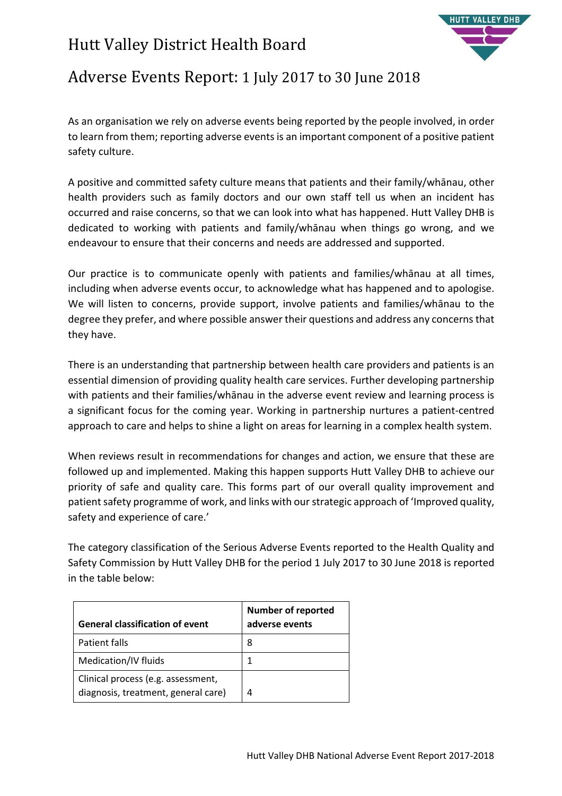# Hutt Valley District Health Board



## Adverse Events Report: 1 July 2017 to 30 June 2018

As an organisation we rely on adverse events being reported by the people involved, in order to learn from them; reporting adverse events is an important component of a positive patient safety culture.

A positive and committed safety culture means that patients and their family/whānau, other health providers such as family doctors and our own staff tell us when an incident has occurred and raise concerns, so that we can look into what has happened. Hutt Valley DHB is dedicated to working with patients and family/whānau when things go wrong, and we endeavour to ensure that their concerns and needs are addressed and supported.

Our practice is to communicate openly with patients and families/whānau at all times, including when adverse events occur, to acknowledge what has happened and to apologise. We will listen to concerns, provide support, involve patients and families/whānau to the degree they prefer, and where possible answer their questions and address any concerns that they have.

There is an understanding that partnership between health care providers and patients is an essential dimension of providing quality health care services. Further developing partnership with patients and their families/whānau in the adverse event review and learning process is a significant focus for the coming year. Working in partnership nurtures a patient-centred approach to care and helps to shine a light on areas for learning in a complex health system.

When reviews result in recommendations for changes and action, we ensure that these are followed up and implemented. Making this happen supports Hutt Valley DHB to achieve our priority of safe and quality care. This forms part of our overall quality improvement and patient safety programme of work, and links with our strategic approach of 'Improved quality, safety and experience of care.'

The category classification of the Serious Adverse Events reported to the Health Quality and Safety Commission by Hutt Valley DHB for the period 1 July 2017 to 30 June 2018 is reported in the table below:

| <b>General classification of event</b>                                    | <b>Number of reported</b><br>adverse events |
|---------------------------------------------------------------------------|---------------------------------------------|
| Patient falls                                                             | 8                                           |
| Medication/IV fluids                                                      |                                             |
| Clinical process (e.g. assessment,<br>diagnosis, treatment, general care) | 4                                           |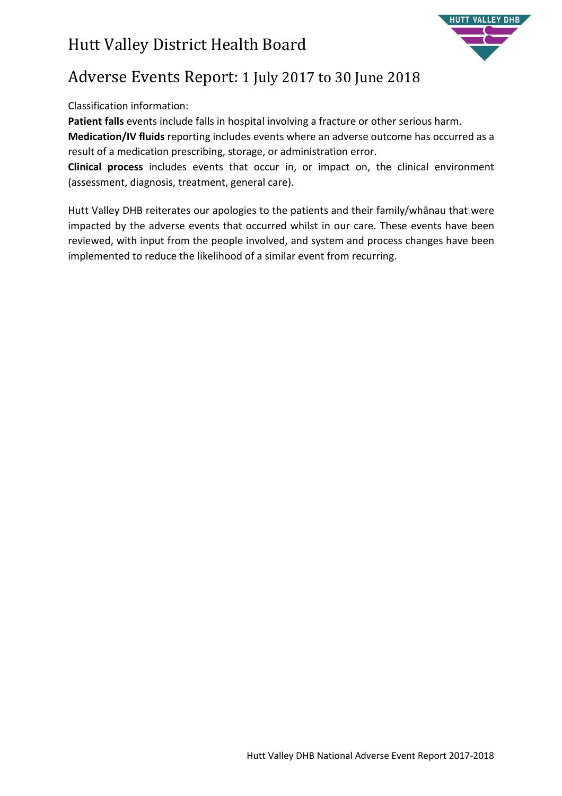

# Adverse Events Report: 1 July 2017 to 30 June 2018

### Classification information:

**Patient falls** events include falls in hospital involving a fracture or other serious harm.

**Medication/IV fluids** reporting includes events where an adverse outcome has occurred as a result of a medication prescribing, storage, or administration error.

**Clinical process** includes events that occur in, or impact on, the clinical environment (assessment, diagnosis, treatment, general care).

Hutt Valley DHB reiterates our apologies to the patients and their family/whānau that were impacted by the adverse events that occurred whilst in our care. These events have been reviewed, with input from the people involved, and system and process changes have been implemented to reduce the likelihood of a similar event from recurring.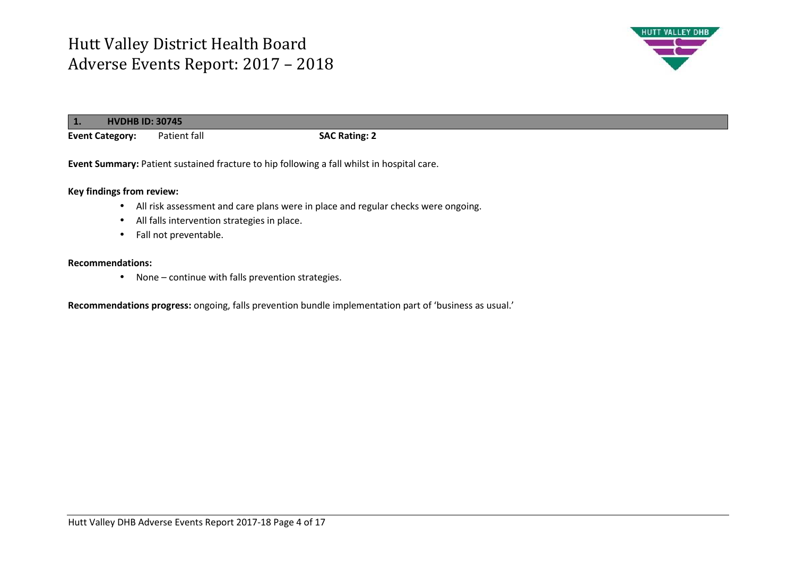

|                        | <b>HVDHB ID: 30745</b> |                                                                                            |  |
|------------------------|------------------------|--------------------------------------------------------------------------------------------|--|
| <b>Event Category:</b> | Patient fall           | <b>SAC Rating: 2</b>                                                                       |  |
|                        |                        | Event Summary: Patient sustained fracture to hip following a fall whilst in hospital care. |  |

**Key findings from review:** 

- All risk assessment and care plans were in place and regular checks were ongoing.
- All falls intervention strategies in place.
- Fall not preventable.

#### **Recommendations:**

• None – continue with falls prevention strategies.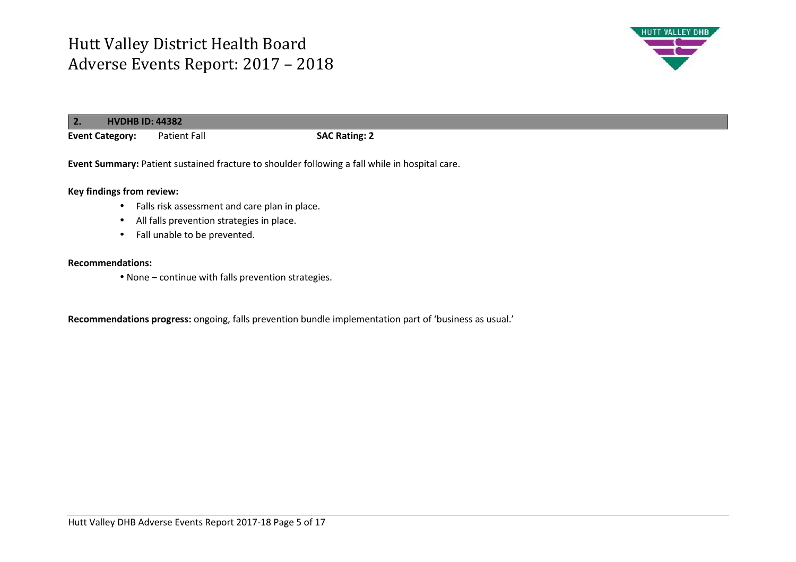

| 2.                     | <b>HVDHB ID: 44382</b> |                                                                                                |                      |
|------------------------|------------------------|------------------------------------------------------------------------------------------------|----------------------|
| <b>Event Category:</b> |                        | Patient Fall                                                                                   | <b>SAC Rating: 2</b> |
|                        |                        | Event Summary: Patient sustained fracture to shoulder following a fall while in hospital care. |                      |

### **Key findings from review:**

- Falls risk assessment and care plan in place.
- All falls prevention strategies in place.
- Fall unable to be prevented.

### **Recommendations:**

• None – continue with falls prevention strategies.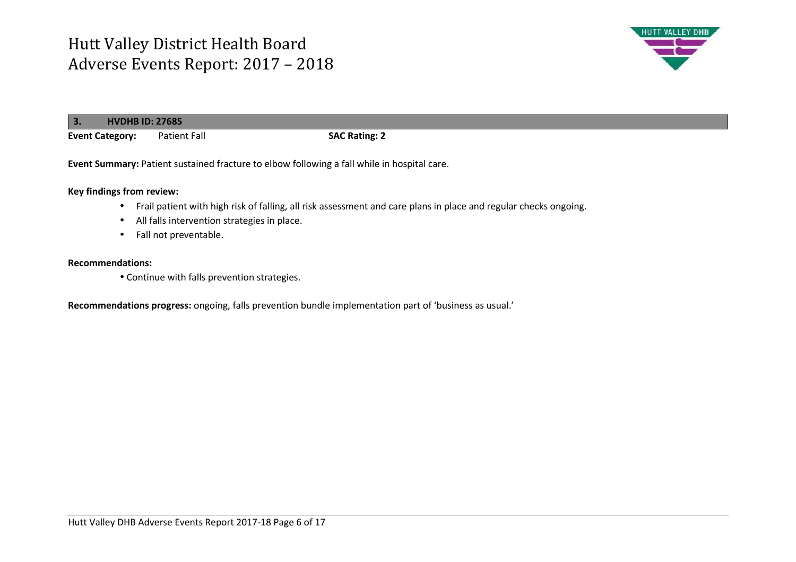

| 3.<br><b>HVDHB ID: 27685</b> |                     |                      |
|------------------------------|---------------------|----------------------|
| <b>Event Category:</b>       | <b>Patient Fall</b> | <b>SAC Rating: 2</b> |

**Event Summary:** Patient sustained fracture to elbow following a fall while in hospital care.

**Key findings from review:** 

- Frail patient with high risk of falling, all risk assessment and care plans in place and regular checks ongoing.
- All falls intervention strategies in place.
- Fall not preventable.

### **Recommendations:**

• Continue with falls prevention strategies.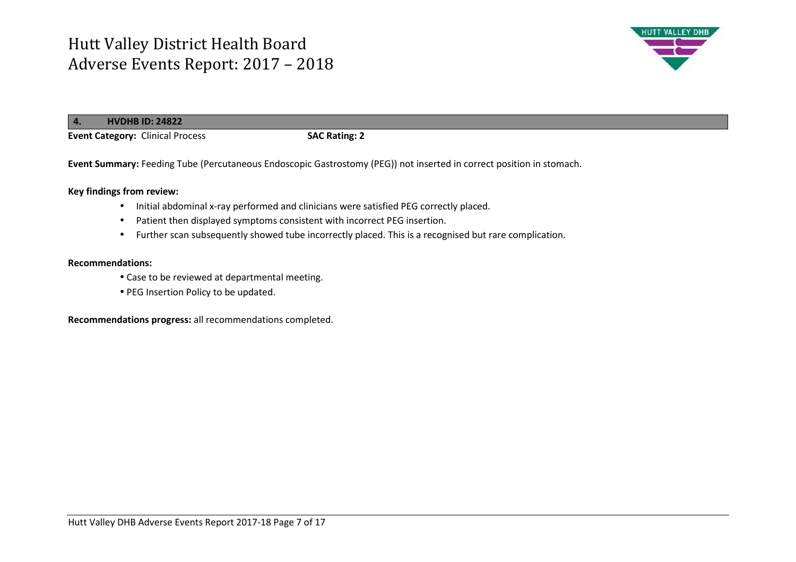

**4.HVDHB ID: 24822**

**Event Category:** Clinical Process **SAC Rating: 2** 

**Event Summary:** Feeding Tube (Percutaneous Endoscopic Gastrostomy (PEG)) not inserted in correct position in stomach.

**Key findings from review:** 

- Initial abdominal x-ray performed and clinicians were satisfied PEG correctly placed.
- •Patient then displayed symptoms consistent with incorrect PEG insertion.
- Further scan subsequently showed tube incorrectly placed. This is a recognised but rare complication.

#### **Recommendations:**

- Case to be reviewed at departmental meeting.
- PEG Insertion Policy to be updated.

**Recommendations progress:** all recommendations completed.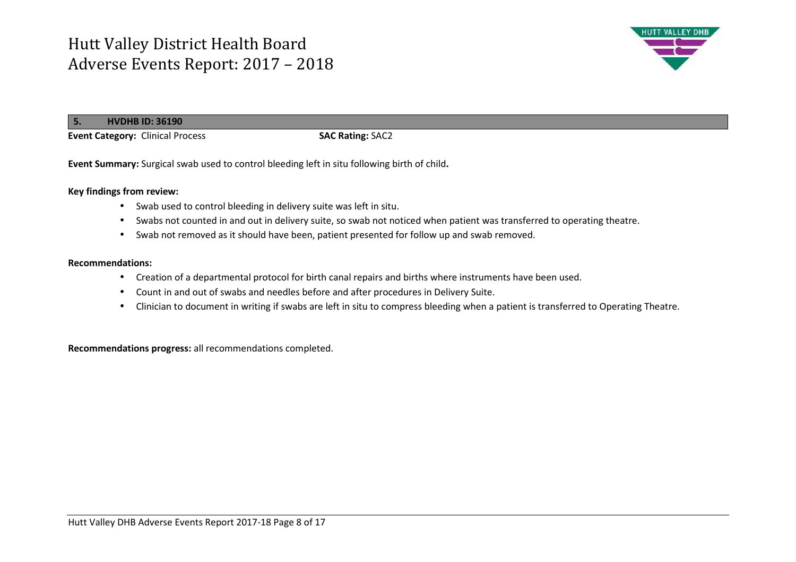

**5.HVDHB ID: 36190**

**Event Category:** Clinical Process **SAC Rating: SAC2** 

**Event Summary:** Surgical swab used to control bleeding left in situ following birth of child**.** 

### **Key findings from review:**

- Swab used to control bleeding in delivery suite was left in situ.
- Swabs not counted in and out in delivery suite, so swab not noticed when patient was transferred to operating theatre.
- Swab not removed as it should have been, patient presented for follow up and swab removed.

#### **Recommendations:**

- Creation of a departmental protocol for birth canal repairs and births where instruments have been used.
- •Count in and out of swabs and needles before and after procedures in Delivery Suite.
- Clinician to document in writing if swabs are left in situ to compress bleeding when a patient is transferred to Operating Theatre.

**Recommendations progress:** all recommendations completed.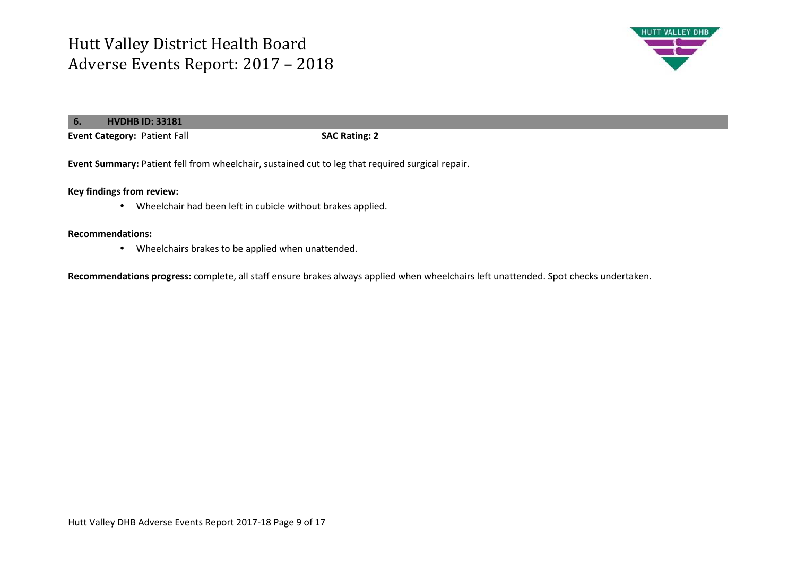

| l 6. | <b>HVDHB ID: 33181</b>       |                      |
|------|------------------------------|----------------------|
|      | Event Category: Patient Fall | <b>SAC Rating: 2</b> |

**Event Summary:** Patient fell from wheelchair, sustained cut to leg that required surgical repair.

**Key findings from review:** 

• Wheelchair had been left in cubicle without brakes applied.

#### **Recommendations:**

• Wheelchairs brakes to be applied when unattended.

**Recommendations progress:** complete, all staff ensure brakes always applied when wheelchairs left unattended. Spot checks undertaken.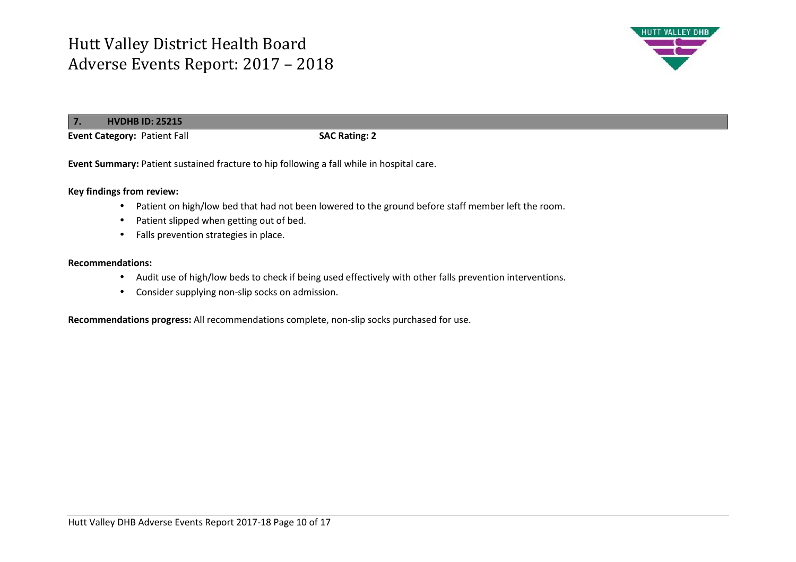

#### **7.HVDHB ID: 25215**

**Event Category:** Patient Fall **SAC Rating: 2**

**Event Summary:** Patient sustained fracture to hip following a fall while in hospital care.

#### **Key findings from review:**

- •Patient on high/low bed that had not been lowered to the ground before staff member left the room.
- •Patient slipped when getting out of bed.
- Falls prevention strategies in place.

#### **Recommendations:**

- Audit use of high/low beds to check if being used effectively with other falls prevention interventions.
- Consider supplying non-slip socks on admission.

**Recommendations progress:** All recommendations complete, non-slip socks purchased for use.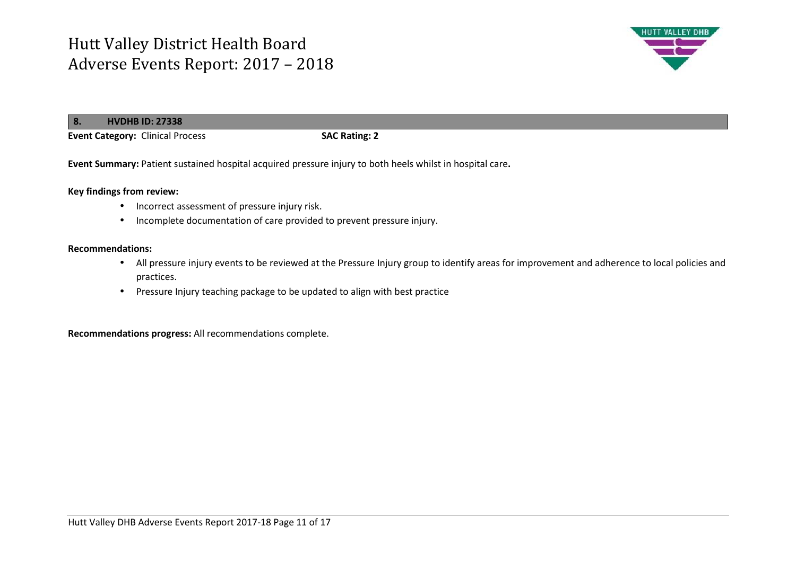

| 8.<br><b>HVDHB ID: 27338</b>            |                      |
|-----------------------------------------|----------------------|
| <b>Event Category: Clinical Process</b> | <b>SAC Rating: 2</b> |

**Event Summary:** Patient sustained hospital acquired pressure injury to both heels whilst in hospital care**.** 

#### **Key findings from review:**

- Incorrect assessment of pressure injury risk.
- •Incomplete documentation of care provided to prevent pressure injury.

#### **Recommendations:**

- All pressure injury events to be reviewed at the Pressure Injury group to identify areas for improvement and adherence to local policies and practices.
- Pressure Injury teaching package to be updated to align with best practice

**Recommendations progress:** All recommendations complete.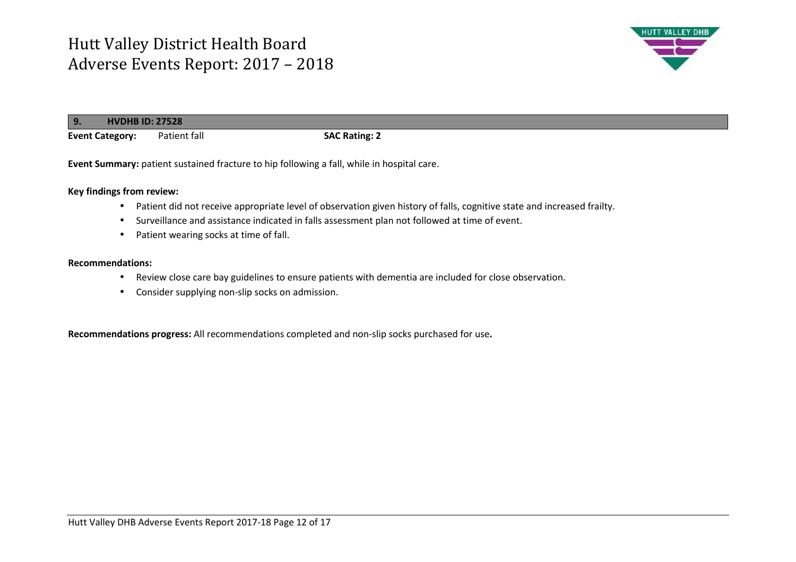

| l 9.<br><b>HVDHB ID: 27528</b> |              |                      |
|--------------------------------|--------------|----------------------|
| <b>Event Category:</b>         | Patient fall | <b>SAC Rating: 2</b> |

**Event Summary:** patient sustained fracture to hip following a fall, while in hospital care.

#### **Key findings from review:**

- •Patient did not receive appropriate level of observation given history of falls, cognitive state and increased frailty.
- •Surveillance and assistance indicated in falls assessment plan not followed at time of event.
- Patient wearing socks at time of fall.

#### **Recommendations:**

- Review close care bay guidelines to ensure patients with dementia are included for close observation.
- Consider supplying non-slip socks on admission.

**Recommendations progress:** All recommendations completed and non-slip socks purchased for use**.**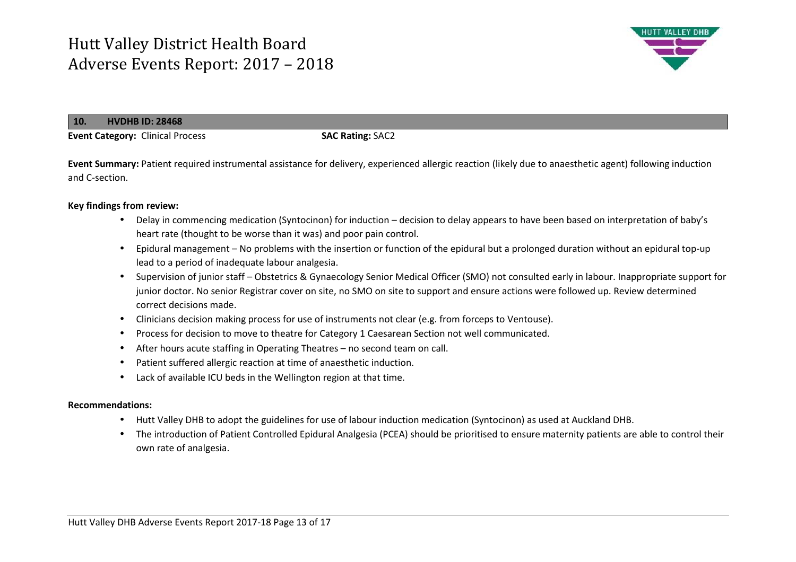

**10.HVDHB ID: 28468**

**Event Category:** Clinical Process **SAC Rating:** SAC2

**Event Summary:** Patient required instrumental assistance for delivery, experienced allergic reaction (likely due to anaesthetic agent) following induction and C-section.

### **Key findings from review:**

- Delay in commencing medication (Syntocinon) for induction decision to delay appears to have been based on interpretation of baby's heart rate (thought to be worse than it was) and poor pain control.
- • Epidural management – No problems with the insertion or function of the epidural but a prolonged duration without an epidural top-up lead to a period of inadequate labour analgesia.
- Supervision of junior staff Obstetrics & Gynaecology Senior Medical Officer (SMO) not consulted early in labour. Inappropriate support for junior doctor. No senior Registrar cover on site, no SMO on site to support and ensure actions were followed up. Review determined correct decisions made.
- Clinicians decision making process for use of instruments not clear (e.g. from forceps to Ventouse).
- •Process for decision to move to theatre for Category 1 Caesarean Section not well communicated.
- •After hours acute staffing in Operating Theatres – no second team on call.
- •Patient suffered allergic reaction at time of anaesthetic induction.
- •Lack of available ICU beds in the Wellington region at that time.

### **Recommendations:**

- Hutt Valley DHB to adopt the guidelines for use of labour induction medication (Syntocinon) as used at Auckland DHB.
- The introduction of Patient Controlled Epidural Analgesia (PCEA) should be prioritised to ensure maternity patients are able to control their own rate of analgesia.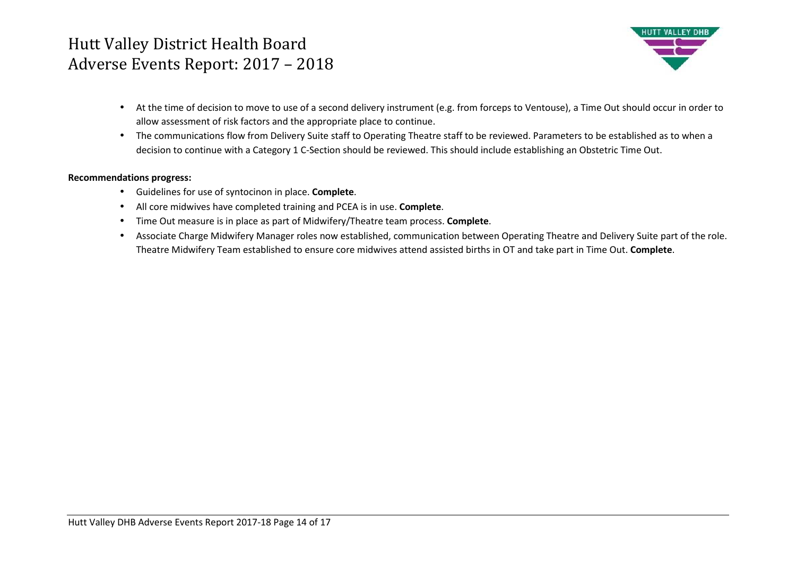

- At the time of decision to move to use of a second delivery instrument (e.g. from forceps to Ventouse), a Time Out should occur in order to allow assessment of risk factors and the appropriate place to continue.
- $\bullet$  The communications flow from Delivery Suite staff to Operating Theatre staff to be reviewed. Parameters to be established as to when a decision to continue with a Category 1 C-Section should be reviewed. This should include establishing an Obstetric Time Out.

### **Recommendations progress:**

- Guidelines for use of syntocinon in place. **Complete**.
- All core midwives have completed training and PCEA is in use. **Complete**.
- Time Out measure is in place as part of Midwifery/Theatre team process. **Complete**.
- Associate Charge Midwifery Manager roles now established, communication between Operating Theatre and Delivery Suite part of the role. Theatre Midwifery Team established to ensure core midwives attend assisted births in OT and take part in Time Out. **Complete**.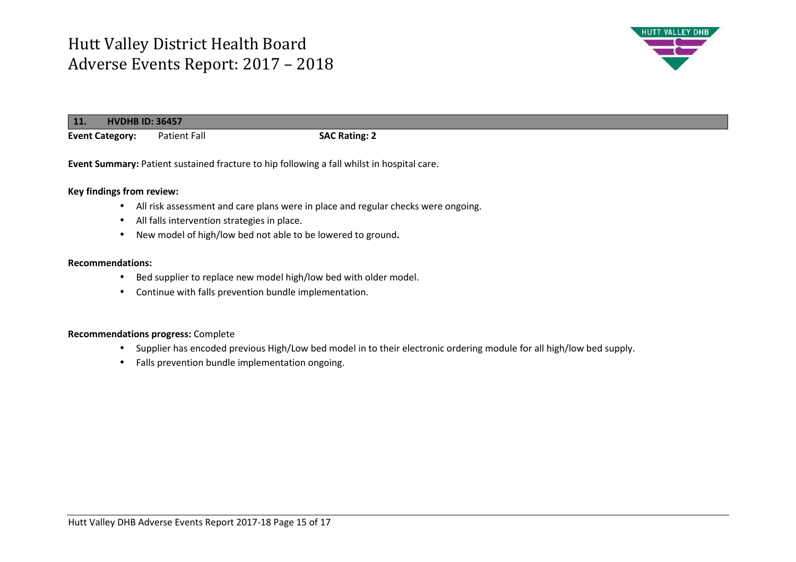

| 11 <sub>k</sub>        | <b>HVDHB ID: 36457</b> |                      |  |
|------------------------|------------------------|----------------------|--|
| <b>Event Category:</b> | <b>Patient Fall</b>    | <b>SAC Rating: 2</b> |  |

**Event Summary: Patient sustained fracture to hip following a fall whilst in hospital care.** 

#### **Key findings from review:**

- All risk assessment and care plans were in place and regular checks were ongoing.
- All falls intervention strategies in place.
- New model of high/low bed not able to be lowered to ground**.**

#### **Recommendations:**

- •Bed supplier to replace new model high/low bed with older model.
- Continue with falls prevention bundle implementation.

#### **Recommendations progress:** Complete

- Supplier has encoded previous High/Low bed model in to their electronic ordering module for all high/low bed supply.
- Falls prevention bundle implementation ongoing.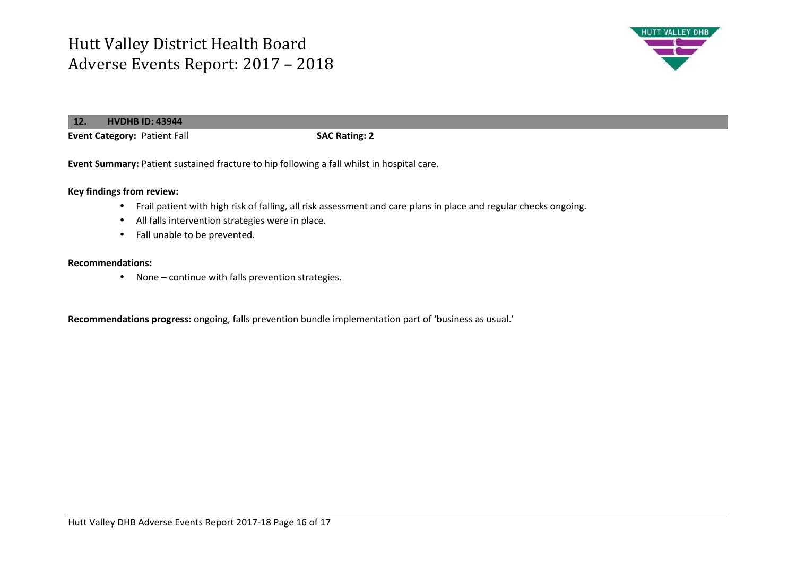

**12. HVDHB ID: 43944Event Category:** Patient Fall **SAC Rating: 2**

**Event Summary:** Patient sustained fracture to hip following a fall whilst in hospital care.

**Key findings from review:** 

- Frail patient with high risk of falling, all risk assessment and care plans in place and regular checks ongoing.
- All falls intervention strategies were in place.
- Fall unable to be prevented.

#### **Recommendations:**

• None – continue with falls prevention strategies.